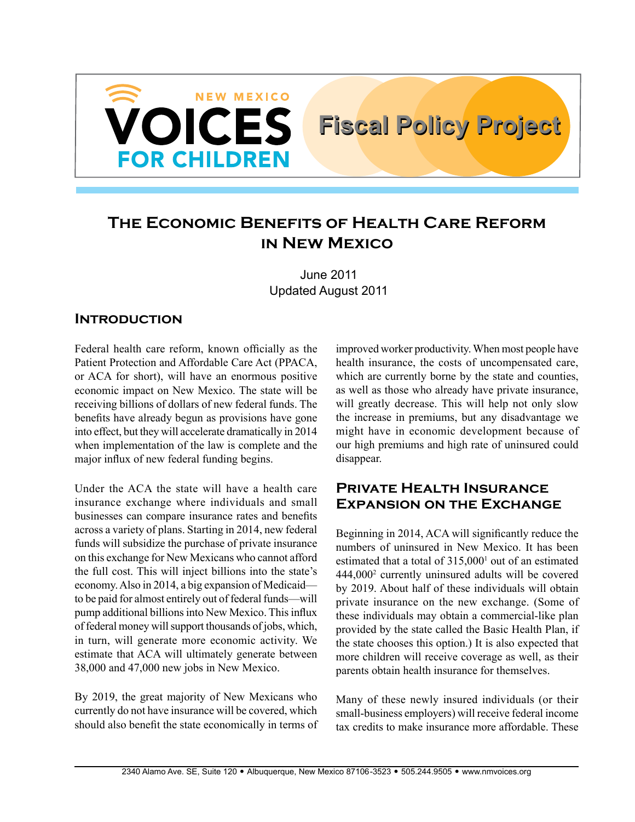

# **The Economic Benefits of Health Care Reform in New Mexico**

June 2011 Updated August 2011

## **Introduction**

Federal health care reform, known officially as the Patient Protection and Affordable Care Act (PPACA, or ACA for short), will have an enormous positive economic impact on New Mexico. The state will be receiving billions of dollars of new federal funds. The benefits have already begun as provisions have gone into effect, but they will accelerate dramatically in 2014 when implementation of the law is complete and the major influx of new federal funding begins.

Under the ACA the state will have a health care insurance exchange where individuals and small businesses can compare insurance rates and benefits across a variety of plans. Starting in 2014, new federal funds will subsidize the purchase of private insurance on this exchange for New Mexicans who cannot afford the full cost. This will inject billions into the state's economy. Also in 2014, a big expansion of Medicaid to be paid for almost entirely out of federal funds—will pump additional billions into New Mexico. This influx of federal money will support thousands of jobs, which, in turn, will generate more economic activity. We estimate that ACA will ultimately generate between 38,000 and 47,000 new jobs in New Mexico.

By 2019, the great majority of New Mexicans who currently do not have insurance will be covered, which should also benefit the state economically in terms of improved worker productivity. When most people have health insurance, the costs of uncompensated care, which are currently borne by the state and counties, as well as those who already have private insurance, will greatly decrease. This will help not only slow the increase in premiums, but any disadvantage we might have in economic development because of our high premiums and high rate of uninsured could disappear.

## **Private Health Insurance Expansion on the Exchange**

Beginning in 2014, ACA will significantly reduce the numbers of uninsured in New Mexico. It has been estimated that a total of  $315,000<sup>1</sup>$  out of an estimated 444,0002 currently uninsured adults will be covered by 2019. About half of these individuals will obtain private insurance on the new exchange. (Some of these individuals may obtain a commercial-like plan provided by the state called the Basic Health Plan, if the state chooses this option.) It is also expected that more children will receive coverage as well, as their parents obtain health insurance for themselves.

Many of these newly insured individuals (or their small-business employers) will receive federal income tax credits to make insurance more affordable. These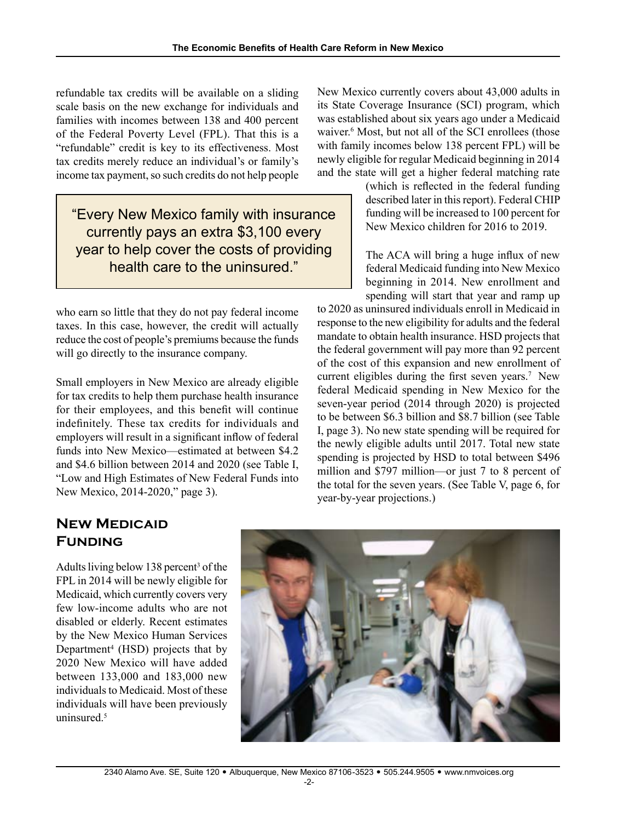refundable tax credits will be available on a sliding scale basis on the new exchange for individuals and families with incomes between 138 and 400 percent of the Federal Poverty Level (FPL). That this is a "refundable" credit is key to its effectiveness. Most tax credits merely reduce an individual's or family's income tax payment, so such credits do not help people

"Every New Mexico family with insurance currently pays an extra \$3,100 every year to help cover the costs of providing health care to the uninsured."

who earn so little that they do not pay federal income taxes. In this case, however, the credit will actually reduce the cost of people's premiums because the funds will go directly to the insurance company.

Small employers in New Mexico are already eligible for tax credits to help them purchase health insurance for their employees, and this benefit will continue indefinitely. These tax credits for individuals and employers will result in a significant inflow of federal funds into New Mexico—estimated at between \$4.2 and \$4.6 billion between 2014 and 2020 (see Table I, "Low and High Estimates of New Federal Funds into New Mexico, 2014-2020," page 3).

New Mexico currently covers about 43,000 adults in its State Coverage Insurance (SCI) program, which was established about six years ago under a Medicaid waiver.<sup>6</sup> Most, but not all of the SCI enrollees (those with family incomes below 138 percent FPL) will be newly eligible for regular Medicaid beginning in 2014 and the state will get a higher federal matching rate

> (which is reflected in the federal funding described later in this report). Federal CHIP funding will be increased to 100 percent for New Mexico children for 2016 to 2019.

> The ACA will bring a huge influx of new federal Medicaid funding into New Mexico beginning in 2014. New enrollment and spending will start that year and ramp up

to 2020 as uninsured individuals enroll in Medicaid in response to the new eligibility for adults and the federal mandate to obtain health insurance. HSD projects that the federal government will pay more than 92 percent of the cost of this expansion and new enrollment of current eligibles during the first seven years.<sup>7</sup> New federal Medicaid spending in New Mexico for the seven-year period (2014 through 2020) is projected to be between \$6.3 billion and \$8.7 billion (see Table I, page 3). No new state spending will be required for the newly eligible adults until 2017. Total new state spending is projected by HSD to total between \$496 million and \$797 million—or just 7 to 8 percent of the total for the seven years. (See Table V, page 6, for year-by-year projections.)

# **New Medicaid Funding**

Adults living below 138 percent<sup>3</sup> of the FPL in 2014 will be newly eligible for Medicaid, which currently covers very few low-income adults who are not disabled or elderly. Recent estimates by the New Mexico Human Services Department<sup>4</sup> (HSD) projects that by 2020 New Mexico will have added between 133,000 and 183,000 new individuals to Medicaid. Most of these individuals will have been previously uninsured $<sup>5</sup>$ </sup>

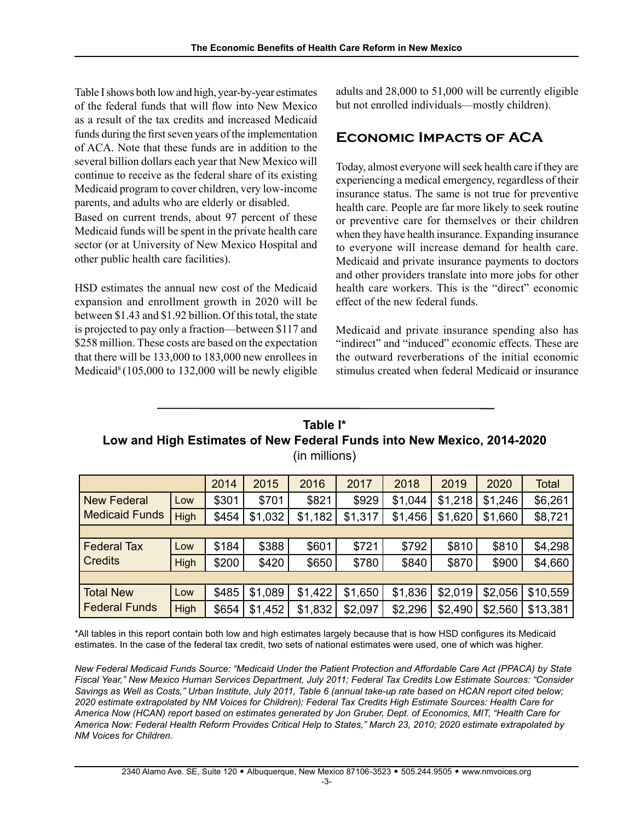Table I shows both low and high, year-by-year estimates of the federal funds that will flow into New Mexico as a result of the tax credits and increased Medicaid funds during the first seven years of the implementation of ACA. Note that these funds are in addition to the several billion dollars each year that New Mexico will continue to receive as the federal share of its existing Medicaid program to cover children, very low-income parents, and adults who are elderly or disabled. Based on current trends, about 97 percent of these Medicaid funds will be spent in the private health care sector (or at University of New Mexico Hospital and other public health care facilities).

HSD estimates the annual new cost of the Medicaid expansion and enrollment growth in 2020 will be between \$1.43 and \$1.92 billion.Of this total, the state is projected to pay only a fraction—between \$117 and \$258 million. These costs are based on the expectation that there will be 133,000 to 183,000 new enrollees in Medicaid<sup>8</sup> (105,000 to 132,000 will be newly eligible

adults and 28,000 to 51,000 will be currently eligible but not enrolled individuals—mostly children).

# **Economic Impacts of ACA**

Today, almost everyone will seek health care if they are experiencing a medical emergency, regardless of their insurance status. The same is not true for preventive health care. People are far more likely to seek routine or preventive care for themselves or their children when they have health insurance. Expanding insurance to everyone will increase demand for health care. Medicaid and private insurance payments to doctors and other providers translate into more jobs for other health care workers. This is the "direct" economic effect of the new federal funds.

Medicaid and private insurance spending also has "indirect" and "induced" economic effects. These are the outward reverberations of the initial economic stimulus created when federal Medicaid or insurance

## **Table I\* Low and High Estimates of New Federal Funds into New Mexico, 2014-2020** (in millions)

|                                      |      | 2014  | 2015    | 2016    | 2017    | 2018    | 2019    | 2020    | <b>Total</b> |  |
|--------------------------------------|------|-------|---------|---------|---------|---------|---------|---------|--------------|--|
| New Federal<br><b>Medicaid Funds</b> | Low  | \$301 | \$701   | \$821   | \$929   | \$1,044 | \$1,218 | \$1,246 | \$6,261      |  |
|                                      | High | \$454 | \$1,032 | \$1,182 | \$1,317 | \$1,456 | \$1,620 | \$1,660 | \$8,721      |  |
|                                      |      |       |         |         |         |         |         |         |              |  |
| <b>Federal Tax</b><br><b>Credits</b> | Low  | \$184 | \$388   | \$601   | \$721   | \$792   | \$810   | \$810   | \$4,298      |  |
|                                      | High | \$200 | \$420   | \$650   | \$780   | \$840   | \$870   | \$900   | \$4,660      |  |
|                                      |      |       |         |         |         |         |         |         |              |  |
| Total New<br><b>Federal Funds</b>    | Low  | \$485 | \$1,089 | \$1,422 | \$1,650 | \$1,836 | \$2,019 | \$2,056 | \$10,559     |  |
|                                      | High | \$654 | \$1,452 | \$1,832 | \$2,097 | \$2,296 | \$2,490 | \$2,560 | \$13,381     |  |

\*All tables in this report contain both low and high estimates largely because that is how HSD configures its Medicaid estimates. In the case of the federal tax credit, two sets of national estimates were used, one of which was higher.

*New Federal Medicaid Funds Source: "Medicaid Under the Patient Protection and Affordable Care Act (PPACA) by State Fiscal Year," New Mexico Human Services Department, July 2011; Federal Tax Credits Low Estimate Sources: "Consider Savings as Well as Costs," Urban Institute, July 2011, Table 6 (annual take-up rate based on HCAN report cited below; 2020 estimate extrapolated by NM Voices for Children); Federal Tax Credits High Estimate Sources: Health Care for America Now (HCAN) report based on estimates generated by Jon Gruber, Dept. of Economics, MIT, "Health Care for America Now: Federal Health Reform Provides Critical Help to States," March 23, 2010; 2020 estimate extrapolated by NM Voices for Children.*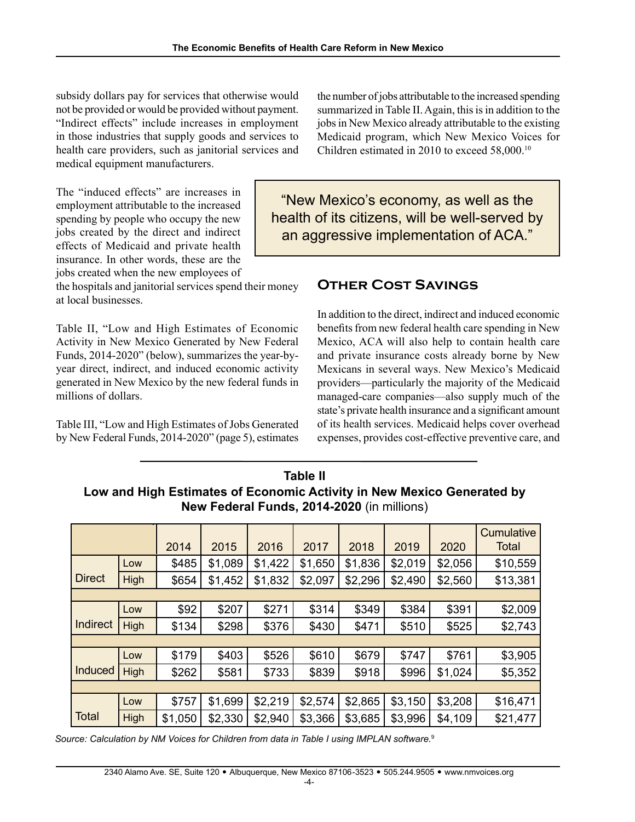subsidy dollars pay for services that otherwise would not be provided or would be provided without payment. "Indirect effects" include increases in employment in those industries that supply goods and services to health care providers, such as janitorial services and medical equipment manufacturers.

The "induced effects" are increases in employment attributable to the increased spending by people who occupy the new jobs created by the direct and indirect effects of Medicaid and private health insurance. In other words, these are the jobs created when the new employees of

the hospitals and janitorial services spend their money at local businesses.

Table II, "Low and High Estimates of Economic Activity in New Mexico Generated by New Federal Funds, 2014-2020" (below), summarizes the year-byyear direct, indirect, and induced economic activity generated in New Mexico by the new federal funds in millions of dollars.

Table III, "Low and High Estimates of Jobs Generated by New Federal Funds, 2014-2020" (page 5), estimates the number of jobs attributable to the increased spending summarized in Table II. Again, this is in addition to the jobs in New Mexico already attributable to the existing Medicaid program, which New Mexico Voices for Children estimated in 2010 to exceed 58,000.10

"New Mexico's economy, as well as the health of its citizens, will be well-served by an aggressive implementation of ACA."

# **Other Cost Savings**

In addition to the direct, indirect and induced economic benefits from new federal health care spending in New Mexico, ACA will also help to contain health care and private insurance costs already borne by New Mexicans in several ways. New Mexico's Medicaid providers—particularly the majority of the Medicaid managed-care companies—also supply much of the state's private health insurance and a significant amount of its health services. Medicaid helps cover overhead expenses, provides cost-effective preventive care, and

| New Federal Funds, 2014-2020 (In millions) |      |         |         |         |         |         |         |         |            |  |  |
|--------------------------------------------|------|---------|---------|---------|---------|---------|---------|---------|------------|--|--|
|                                            |      |         |         |         |         |         |         |         | Cumulative |  |  |
|                                            |      | 2014    | 2015    | 2016    | 2017    | 2018    | 2019    | 2020    | Total      |  |  |
|                                            | Low  | \$485   | \$1,089 | \$1,422 | \$1,650 | \$1,836 | \$2,019 | \$2,056 | \$10,559   |  |  |
| <b>Direct</b>                              | High | \$654   | \$1,452 | \$1,832 | \$2,097 | \$2,296 | \$2,490 | \$2,560 | \$13,381   |  |  |
|                                            |      |         |         |         |         |         |         |         |            |  |  |
|                                            | Low  | \$92    | \$207   | \$271   | \$314   | \$349   | \$384   | \$391   | \$2,009    |  |  |
| <b>Indirect</b>                            | High | \$134   | \$298   | \$376   | \$430   | \$471   | \$510   | \$525   | \$2,743    |  |  |
|                                            |      |         |         |         |         |         |         |         |            |  |  |
|                                            | Low  | \$179   | \$403   | \$526   | \$610   | \$679   | \$747   | \$761   | \$3,905    |  |  |
| <b>Induced</b>                             | High | \$262   | \$581   | \$733   | \$839   | \$918   | \$996   | \$1,024 | \$5,352    |  |  |
|                                            |      |         |         |         |         |         |         |         |            |  |  |
|                                            | Low  | \$757   | \$1,699 | \$2,219 | \$2,574 | \$2,865 | \$3,150 | \$3,208 | \$16,471   |  |  |
| <b>Total</b>                               | High | \$1,050 | \$2,330 | \$2,940 | \$3,366 | \$3,685 | \$3,996 | \$4,109 | \$21,477   |  |  |

**Table II Low and High Estimates of Economic Activity in New Mexico Generated by New Federal Funds, 2014-2020** (in millions)

*Source: Calculation by NM Voices for Children from data in Table I using IMPLAN software.*<sup>9</sup>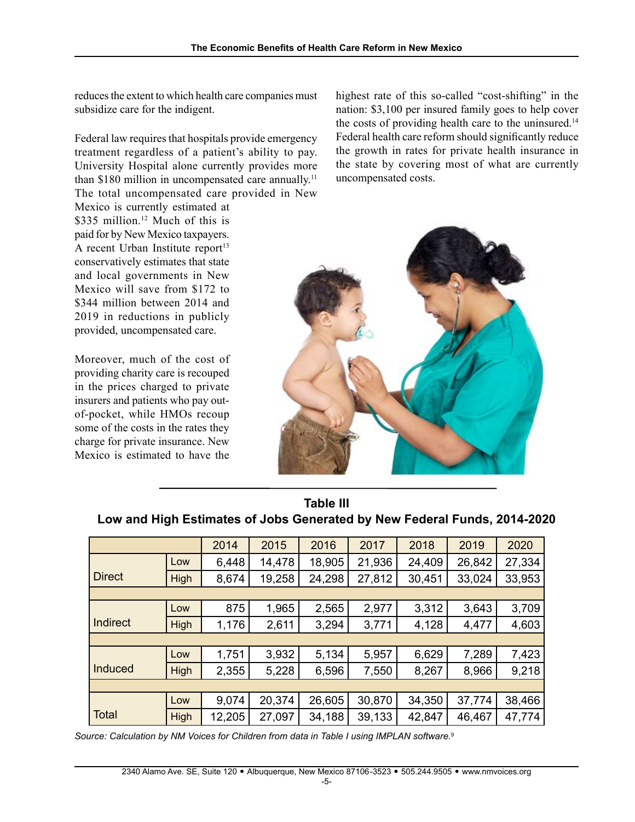reduces the extent to which health care companies must subsidize care for the indigent.

Federal law requires that hospitals provide emergency treatment regardless of a patient's ability to pay. University Hospital alone currently provides more than \$180 million in uncompensated care annually.<sup>11</sup> The total uncompensated care provided in New

Mexico is currently estimated at \$335 million.<sup>12</sup> Much of this is paid for by New Mexico taxpayers. A recent Urban Institute report $13$ conservatively estimates that state and local governments in New Mexico will save from \$172 to \$344 million between 2014 and 2019 in reductions in publicly provided, uncompensated care.

Moreover, much of the cost of providing charity care is recouped in the prices charged to private insurers and patients who pay outof-pocket, while HMOs recoup some of the costs in the rates they charge for private insurance. New Mexico is estimated to have the

highest rate of this so-called "cost-shifting" in the nation: \$3,100 per insured family goes to help cover the costs of providing health care to the uninsured.<sup>14</sup> Federal health care reform should significantly reduce the growth in rates for private health insurance in the state by covering most of what are currently uncompensated costs.



| .               |      |        |        |        |        |        |        |        |  |  |
|-----------------|------|--------|--------|--------|--------|--------|--------|--------|--|--|
|                 |      | 2014   | 2015   | 2016   | 2017   | 2018   | 2019   | 2020   |  |  |
|                 | Low  | 6,448  | 14,478 | 18,905 | 21,936 | 24,409 | 26,842 | 27,334 |  |  |
| <b>Direct</b>   | High | 8,674  | 19,258 | 24,298 | 27,812 | 30,451 | 33,024 | 33,953 |  |  |
|                 |      |        |        |        |        |        |        |        |  |  |
|                 | Low  | 875    | 1,965  | 2,565  | 2,977  | 3,312  | 3,643  | 3,709  |  |  |
| <b>Indirect</b> | High | 1,176  | 2,611  | 3,294  | 3,771  | 4,128  | 4,477  | 4,603  |  |  |
|                 |      |        |        |        |        |        |        |        |  |  |
|                 | Low  | 1,751  | 3,932  | 5,134  | 5,957  | 6,629  | 7,289  | 7,423  |  |  |
| <b>Induced</b>  | High | 2,355  | 5,228  | 6,596  | 7,550  | 8,267  | 8,966  | 9,218  |  |  |
|                 |      |        |        |        |        |        |        |        |  |  |
|                 | Low  | 9,074  | 20,374 | 26,605 | 30,870 | 34,350 | 37,774 | 38,466 |  |  |
| <b>Total</b>    | High | 12,205 | 27,097 | 34,188 | 39,133 | 42,847 | 46,467 | 47,774 |  |  |

### **Table III Low and High Estimates of Jobs Generated by New Federal Funds, 2014-2020**

*Source: Calculation by NM Voices for Children from data in Table I using IMPLAN software.*9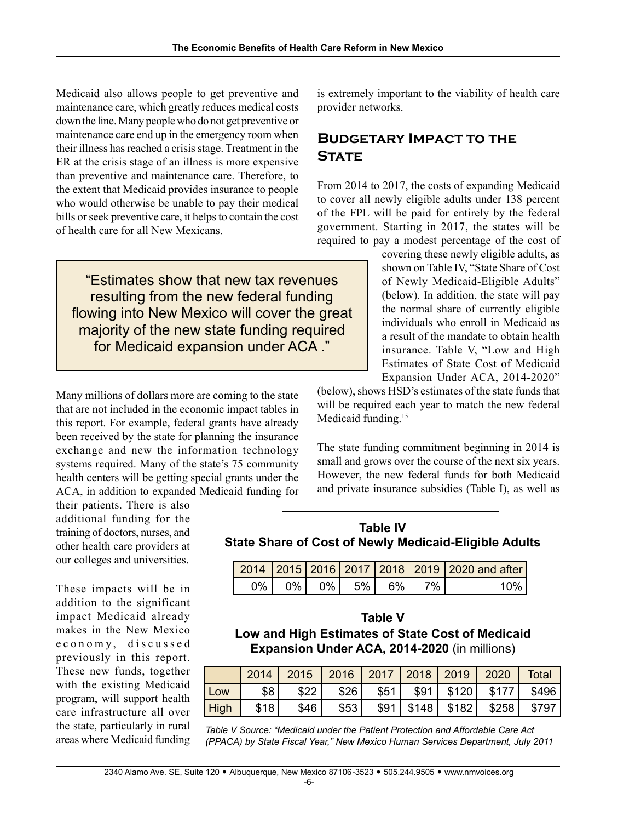Medicaid also allows people to get preventive and maintenance care, which greatly reduces medical costs down the line. Many people who do not get preventive or maintenance care end up in the emergency room when their illness has reached a crisis stage. Treatment in the ER at the crisis stage of an illness is more expensive than preventive and maintenance care. Therefore, to the extent that Medicaid provides insurance to people who would otherwise be unable to pay their medical bills or seek preventive care, it helps to contain the cost of health care for all New Mexicans.

"Estimates show that new tax revenues resulting from the new federal funding flowing into New Mexico will cover the great majority of the new state funding required for Medicaid expansion under ACA ."

Many millions of dollars more are coming to the state that are not included in the economic impact tables in this report. For example, federal grants have already been received by the state for planning the insurance exchange and new the information technology systems required. Many of the state's 75 community health centers will be getting special grants under the ACA, in addition to expanded Medicaid funding for

their patients. There is also additional funding for the training of doctors, nurses, and other health care providers at our colleges and universities.

These impacts will be in addition to the significant impact Medicaid already makes in the New Mexico e c o n o m y, discussed previously in this report. These new funds, together with the existing Medicaid program, will support health care infrastructure all over the state, particularly in rural areas where Medicaid funding is extremely important to the viability of health care provider networks.

# **Budgetary Impact to the STATE**

From 2014 to 2017, the costs of expanding Medicaid to cover all newly eligible adults under 138 percent of the FPL will be paid for entirely by the federal government. Starting in 2017, the states will be required to pay a modest percentage of the cost of

> covering these newly eligible adults, as shown on Table IV, "State Share of Cost of Newly Medicaid-Eligible Adults" (below). In addition, the state will pay the normal share of currently eligible individuals who enroll in Medicaid as a result of the mandate to obtain health insurance. Table V, "Low and High Estimates of State Cost of Medicaid Expansion Under ACA, 2014-2020"

(below), shows HSD's estimates of the state funds that will be required each year to match the new federal Medicaid funding.<sup>15</sup>

The state funding commitment beginning in 2014 is small and grows over the course of the next six years. However, the new federal funds for both Medicaid and private insurance subsidies (Table I), as well as

#### **Table IV State Share of Cost of Newly Medicaid-Eligible Adults**

|      |  |             |      | 2014   2015   2016   2017   2018   2019   2020 and after |
|------|--|-------------|------|----------------------------------------------------------|
| 0% l |  | 0% 0% 5% 6% | 7% i | 10%                                                      |

#### **Table V**

**Low and High Estimates of State Cost of Medicaid Expansion Under ACA, 2014-2020** (in millions)

|      | 2014 | 2015 | 2016   2017   2018   2019 |      |                                | $\begin{array}{c} \begin{array}{c} \end{array} \end{array}$ | <b>Total</b> |
|------|------|------|---------------------------|------|--------------------------------|-------------------------------------------------------------|--------------|
| Low  | \$8  | \$22 | \$26                      | \$51 | $$91$   \$120                  | ا 5177                                                      | \$496        |
| High | \$18 | \$46 | \$53                      |      | $$91 \mid $148 \mid $182 \mid$ | \$258                                                       | \$797        |

*Table V Source: "Medicaid under the Patient Protection and Affordable Care Act (PPACA) by State Fiscal Year," New Mexico Human Services Department, July 2011*

-6-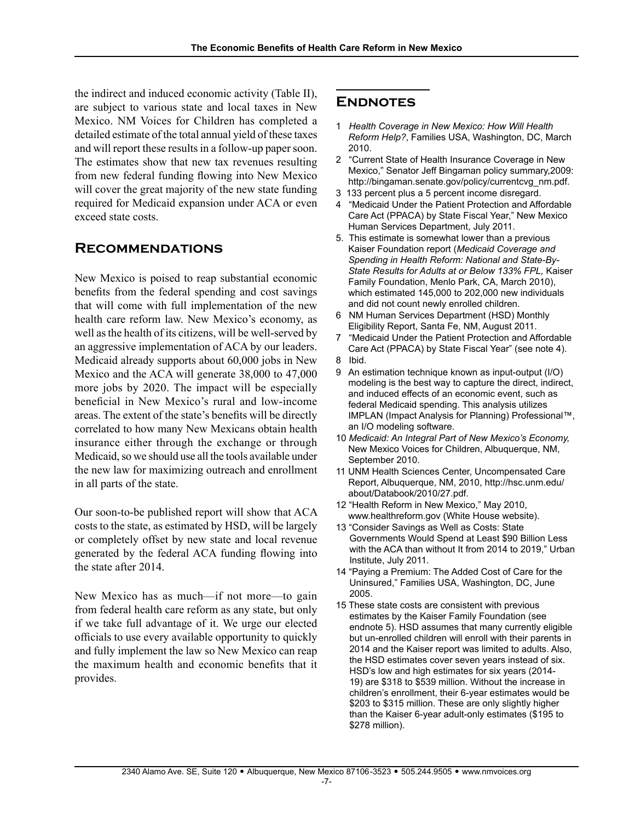the indirect and induced economic activity (Table II), are subject to various state and local taxes in New Mexico. NM Voices for Children has completed a detailed estimate of the total annual yield of these taxes and will report these results in a follow-up paper soon. The estimates show that new tax revenues resulting from new federal funding flowing into New Mexico will cover the great majority of the new state funding required for Medicaid expansion under ACA or even exceed state costs.

### **Recommendations**

New Mexico is poised to reap substantial economic benefits from the federal spending and cost savings that will come with full implementation of the new health care reform law. New Mexico's economy, as well as the health of its citizens, will be well-served by an aggressive implementation of ACA by our leaders. Medicaid already supports about 60,000 jobs in New Mexico and the ACA will generate 38,000 to 47,000 more jobs by 2020. The impact will be especially beneficial in New Mexico's rural and low-income areas. The extent of the state's benefits will be directly correlated to how many New Mexicans obtain health insurance either through the exchange or through Medicaid, so we should use all the tools available under the new law for maximizing outreach and enrollment in all parts of the state.

Our soon-to-be published report will show that ACA costs to the state, as estimated by HSD, will be largely or completely offset by new state and local revenue generated by the federal ACA funding flowing into the state after 2014.

New Mexico has as much—if not more—to gain from federal health care reform as any state, but only if we take full advantage of it. We urge our elected officials to use every available opportunity to quickly and fully implement the law so New Mexico can reap the maximum health and economic benefits that it provides.

### **Endnotes**

- 1 *Health Coverage in New Mexico: How Will Health Reform Help?*, Families USA, Washington, DC, March 2010.
- 2 "Current State of Health Insurance Coverage in New Mexico," Senator Jeff Bingaman policy summary,2009: http://bingaman.senate.gov/policy/currentcvg\_nm.pdf.
- 3 133 percent plus a 5 percent income disregard.
- 4 "Medicaid Under the Patient Protection and Affordable Care Act (PPACA) by State Fiscal Year," New Mexico Human Services Department, July 2011.
- 5.This estimate is somewhat lower than a previous Kaiser Foundation report (*Medicaid Coverage and Spending in Health Reform: National and State-By-State Results for Adults at or Below 133% FPL,* Kaiser Family Foundation, Menlo Park, CA, March 2010), which estimated 145,000 to 202,000 new individuals and did not count newly enrolled children.
- 6 NM Human Services Department (HSD) Monthly Eligibility Report, Santa Fe, NM, August 2011.
- "Medicaid Under the Patient Protection and Affordable Care Act (PPACA) by State Fiscal Year" (see note 4).
- 8 Ibid.
- 9 An estimation technique known as input-output (I/O) modeling is the best way to capture the direct, indirect, and induced effects of an economic event, such as federal Medicaid spending. This analysis utilizes IMPLAN (Impact Analysis for Planning) Professional™, an I/O modeling software.
- 10 *Medicaid: An Integral Part of New Mexico's Economy,*  New Mexico Voices for Children, Albuquerque, NM, September 2010.
- 11 UNM Health Sciences Center, Uncompensated Care Report, Albuquerque, NM, 2010, http://hsc.unm.edu/ about/Databook/2010/27.pdf.
- 12 "Health Reform in New Mexico," May 2010, www.healthreform.gov (White House website).
- 13 "Consider Savings as Well as Costs: State Governments Would Spend at Least \$90 Billion Less with the ACA than without It from 2014 to 2019," Urban Institute, July 2011.
- 14 "Paying a Premium: The Added Cost of Care for the Uninsured," Families USA, Washington, DC, June 2005.
- 15 These state costs are consistent with previous estimates by the Kaiser Family Foundation (see endnote 5). HSD assumes that many currently eligible but un-enrolled children will enroll with their parents in 2014 and the Kaiser report was limited to adults. Also, the HSD estimates cover seven years instead of six. HSD's low and high estimates for six years (2014- 19) are \$318 to \$539 million. Without the increase in children's enrollment, their 6-year estimates would be \$203 to \$315 million. These are only slightly higher than the Kaiser 6-year adult-only estimates (\$195 to \$278 million).